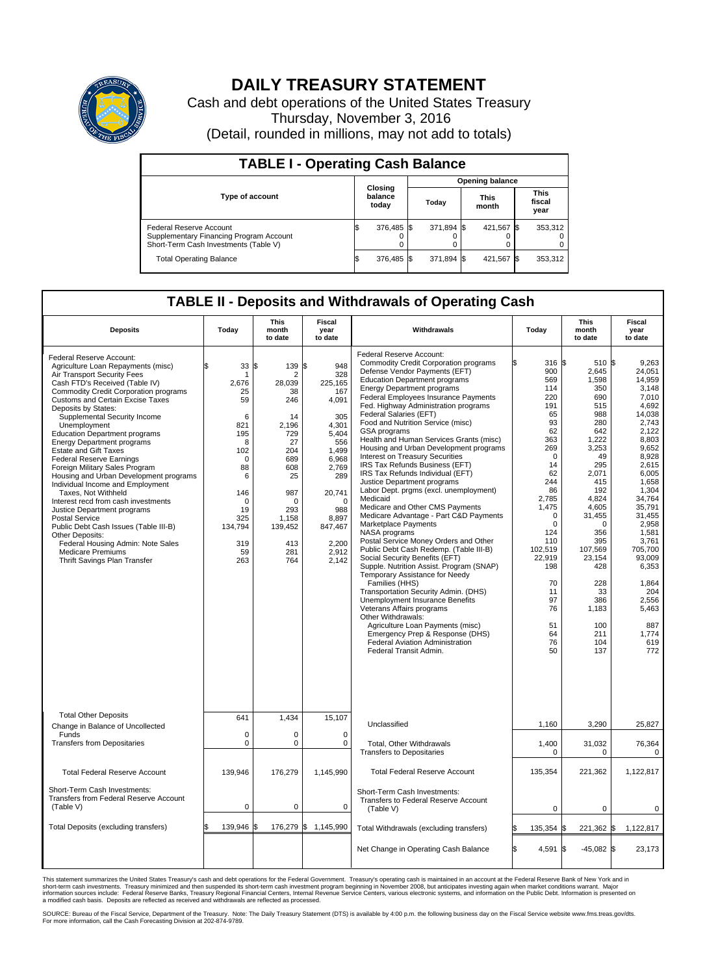

## **DAILY TREASURY STATEMENT**

Cash and debt operations of the United States Treasury Thursday, November 3, 2016 (Detail, rounded in millions, may not add to totals)

| <b>TABLE I - Operating Cash Balance</b>                                                                     |                             |            |                        |            |  |                      |  |                               |  |
|-------------------------------------------------------------------------------------------------------------|-----------------------------|------------|------------------------|------------|--|----------------------|--|-------------------------------|--|
|                                                                                                             | Closing<br>balance<br>today |            | <b>Opening balance</b> |            |  |                      |  |                               |  |
| Type of account                                                                                             |                             |            | Today                  |            |  | <b>This</b><br>month |  | <b>This</b><br>fiscal<br>year |  |
| Federal Reserve Account<br>Supplementary Financing Program Account<br>Short-Term Cash Investments (Table V) |                             | 376,485 \$ |                        | 371,894 \$ |  | 421,567 \$           |  | 353,312                       |  |
| <b>Total Operating Balance</b>                                                                              | ß.                          | 376,485 \$ |                        | 371,894 \$ |  | 421,567 \$           |  | 353,312                       |  |

## **TABLE II - Deposits and Withdrawals of Operating Cash**

| <b>Deposits</b>                                                                                                                                                                                                                                                                                                                                                                                                                                                                                                                                                                                                                                                                                                                                                                                                                                      | Today                                                                                                                                                          | <b>This</b><br>month<br>to date                                                                                                                                                  | <b>Fiscal</b><br>year<br>to date                                                                                                                                                    | Withdrawals                                                                                                                                                                                                                                                                                                                                                                                                                                                                                                                                                                                                                                                                                                                                                                                                                                                                                                                                                                                                                                                                                                                                                                                                                                                  |    | Today                                                                                                                                                                                                                                                 | <b>This</b><br>month<br>to date                                                                                                                                                                                                                                     | Fiscal<br>year<br>to date                                                                                                                                                                                                                                                                              |
|------------------------------------------------------------------------------------------------------------------------------------------------------------------------------------------------------------------------------------------------------------------------------------------------------------------------------------------------------------------------------------------------------------------------------------------------------------------------------------------------------------------------------------------------------------------------------------------------------------------------------------------------------------------------------------------------------------------------------------------------------------------------------------------------------------------------------------------------------|----------------------------------------------------------------------------------------------------------------------------------------------------------------|----------------------------------------------------------------------------------------------------------------------------------------------------------------------------------|-------------------------------------------------------------------------------------------------------------------------------------------------------------------------------------|--------------------------------------------------------------------------------------------------------------------------------------------------------------------------------------------------------------------------------------------------------------------------------------------------------------------------------------------------------------------------------------------------------------------------------------------------------------------------------------------------------------------------------------------------------------------------------------------------------------------------------------------------------------------------------------------------------------------------------------------------------------------------------------------------------------------------------------------------------------------------------------------------------------------------------------------------------------------------------------------------------------------------------------------------------------------------------------------------------------------------------------------------------------------------------------------------------------------------------------------------------------|----|-------------------------------------------------------------------------------------------------------------------------------------------------------------------------------------------------------------------------------------------------------|---------------------------------------------------------------------------------------------------------------------------------------------------------------------------------------------------------------------------------------------------------------------|--------------------------------------------------------------------------------------------------------------------------------------------------------------------------------------------------------------------------------------------------------------------------------------------------------|
| Federal Reserve Account:<br>Agriculture Loan Repayments (misc)<br>Air Transport Security Fees<br>Cash FTD's Received (Table IV)<br><b>Commodity Credit Corporation programs</b><br><b>Customs and Certain Excise Taxes</b><br>Deposits by States:<br>Supplemental Security Income<br>Unemployment<br><b>Education Department programs</b><br><b>Energy Department programs</b><br><b>Estate and Gift Taxes</b><br><b>Federal Reserve Earnings</b><br>Foreign Military Sales Program<br>Housing and Urban Development programs<br>Individual Income and Employment<br>Taxes. Not Withheld<br>Interest recd from cash investments<br>Justice Department programs<br><b>Postal Service</b><br>Public Debt Cash Issues (Table III-B)<br>Other Deposits:<br>Federal Housing Admin: Note Sales<br><b>Medicare Premiums</b><br>Thrift Savings Plan Transfer | 33<br>\$<br>-1<br>2,676<br>25<br>59<br>6<br>821<br>195<br>8<br>102<br>$\mathbf 0$<br>88<br>6<br>146<br>$\mathbf 0$<br>19<br>325<br>134,794<br>319<br>59<br>263 | l\$<br>139 \$<br>$\overline{2}$<br>28,039<br>38<br>246<br>14<br>2,196<br>729<br>27<br>204<br>689<br>608<br>25<br>987<br>$\Omega$<br>293<br>1,158<br>139,452<br>413<br>281<br>764 | 948<br>328<br>225,165<br>167<br>4,091<br>305<br>4,301<br>5,404<br>556<br>1,499<br>6,968<br>2,769<br>289<br>20,741<br>$\Omega$<br>988<br>8,897<br>847,467<br>2,200<br>2,912<br>2,142 | Federal Reserve Account:<br><b>Commodity Credit Corporation programs</b><br>Defense Vendor Payments (EFT)<br><b>Education Department programs</b><br><b>Energy Department programs</b><br>Federal Employees Insurance Payments<br>Fed. Highway Administration programs<br>Federal Salaries (EFT)<br>Food and Nutrition Service (misc)<br>GSA programs<br>Health and Human Services Grants (misc)<br>Housing and Urban Development programs<br>Interest on Treasury Securities<br>IRS Tax Refunds Business (EFT)<br>IRS Tax Refunds Individual (EFT)<br>Justice Department programs<br>Labor Dept. prgms (excl. unemployment)<br>Medicaid<br>Medicare and Other CMS Payments<br>Medicare Advantage - Part C&D Payments<br>Marketplace Payments<br>NASA programs<br>Postal Service Money Orders and Other<br>Public Debt Cash Redemp. (Table III-B)<br>Social Security Benefits (EFT)<br>Supple. Nutrition Assist. Program (SNAP)<br>Temporary Assistance for Needy<br>Families (HHS)<br>Transportation Security Admin. (DHS)<br>Unemployment Insurance Benefits<br>Veterans Affairs programs<br>Other Withdrawals:<br>Agriculture Loan Payments (misc)<br>Emergency Prep & Response (DHS)<br><b>Federal Aviation Administration</b><br>Federal Transit Admin. |    | 316 \$<br>900<br>569<br>114<br>220<br>191<br>65<br>93<br>62<br>363<br>269<br>$\Omega$<br>14<br>62<br>244<br>86<br>2,785<br>1,475<br>$\mathbf 0$<br>$\Omega$<br>124<br>110<br>102,519<br>22.919<br>198<br>70<br>11<br>97<br>76<br>51<br>64<br>76<br>50 | 510 \$<br>2,645<br>1,598<br>350<br>690<br>515<br>988<br>280<br>642<br>1,222<br>3,253<br>49<br>295<br>2,071<br>415<br>192<br>4,824<br>4,605<br>31,455<br>$\Omega$<br>356<br>395<br>107,569<br>23.154<br>428<br>228<br>33<br>386<br>1,183<br>100<br>211<br>104<br>137 | 9,263<br>24,051<br>14,959<br>3.148<br>7,010<br>4,692<br>14,038<br>2.743<br>2,122<br>8,803<br>9.652<br>8,928<br>2,615<br>6,005<br>1.658<br>1,304<br>34,764<br>35,791<br>31,455<br>2.958<br>1,581<br>3,761<br>705,700<br>93.009<br>6,353<br>1,864<br>204<br>2,556<br>5,463<br>887<br>1,774<br>619<br>772 |
| <b>Total Other Deposits</b><br>Change in Balance of Uncollected                                                                                                                                                                                                                                                                                                                                                                                                                                                                                                                                                                                                                                                                                                                                                                                      | 641                                                                                                                                                            | 1,434                                                                                                                                                                            | 15,107                                                                                                                                                                              | Unclassified                                                                                                                                                                                                                                                                                                                                                                                                                                                                                                                                                                                                                                                                                                                                                                                                                                                                                                                                                                                                                                                                                                                                                                                                                                                 |    | 1,160                                                                                                                                                                                                                                                 | 3,290                                                                                                                                                                                                                                                               | 25,827                                                                                                                                                                                                                                                                                                 |
| Funds<br><b>Transfers from Depositaries</b>                                                                                                                                                                                                                                                                                                                                                                                                                                                                                                                                                                                                                                                                                                                                                                                                          | $\mathbf 0$<br>$\mathbf 0$                                                                                                                                     | $\Omega$<br>0                                                                                                                                                                    | $\mathbf 0$<br>$\mathbf 0$                                                                                                                                                          | Total, Other Withdrawals<br><b>Transfers to Depositaries</b>                                                                                                                                                                                                                                                                                                                                                                                                                                                                                                                                                                                                                                                                                                                                                                                                                                                                                                                                                                                                                                                                                                                                                                                                 |    | 1,400<br>$\mathbf 0$                                                                                                                                                                                                                                  | 31,032<br>$\Omega$                                                                                                                                                                                                                                                  | 76,364<br>$\mathbf 0$                                                                                                                                                                                                                                                                                  |
| <b>Total Federal Reserve Account</b>                                                                                                                                                                                                                                                                                                                                                                                                                                                                                                                                                                                                                                                                                                                                                                                                                 | 139,946                                                                                                                                                        | 176,279                                                                                                                                                                          | 1,145,990                                                                                                                                                                           | <b>Total Federal Reserve Account</b>                                                                                                                                                                                                                                                                                                                                                                                                                                                                                                                                                                                                                                                                                                                                                                                                                                                                                                                                                                                                                                                                                                                                                                                                                         |    | 135,354                                                                                                                                                                                                                                               | 221,362                                                                                                                                                                                                                                                             | 1,122,817                                                                                                                                                                                                                                                                                              |
| Short-Term Cash Investments:<br>Transfers from Federal Reserve Account<br>(Table V)                                                                                                                                                                                                                                                                                                                                                                                                                                                                                                                                                                                                                                                                                                                                                                  | $\pmb{0}$                                                                                                                                                      | 0                                                                                                                                                                                | $\mathbf 0$                                                                                                                                                                         | Short-Term Cash Investments:<br>Transfers to Federal Reserve Account<br>(Table V)                                                                                                                                                                                                                                                                                                                                                                                                                                                                                                                                                                                                                                                                                                                                                                                                                                                                                                                                                                                                                                                                                                                                                                            |    | 0                                                                                                                                                                                                                                                     | $\Omega$                                                                                                                                                                                                                                                            | $\mathbf 0$                                                                                                                                                                                                                                                                                            |
| Total Deposits (excluding transfers)                                                                                                                                                                                                                                                                                                                                                                                                                                                                                                                                                                                                                                                                                                                                                                                                                 | 139,946                                                                                                                                                        | ß.                                                                                                                                                                               | 176,279 \$ 1,145,990                                                                                                                                                                | Total Withdrawals (excluding transfers)                                                                                                                                                                                                                                                                                                                                                                                                                                                                                                                                                                                                                                                                                                                                                                                                                                                                                                                                                                                                                                                                                                                                                                                                                      | \$ | 135,354 \$                                                                                                                                                                                                                                            | 221,362 \$                                                                                                                                                                                                                                                          | 1,122,817                                                                                                                                                                                                                                                                                              |
|                                                                                                                                                                                                                                                                                                                                                                                                                                                                                                                                                                                                                                                                                                                                                                                                                                                      |                                                                                                                                                                |                                                                                                                                                                                  |                                                                                                                                                                                     | Net Change in Operating Cash Balance                                                                                                                                                                                                                                                                                                                                                                                                                                                                                                                                                                                                                                                                                                                                                                                                                                                                                                                                                                                                                                                                                                                                                                                                                         | Ŝ. | 4,591 \$                                                                                                                                                                                                                                              | $-45,082$ \$                                                                                                                                                                                                                                                        | 23,173                                                                                                                                                                                                                                                                                                 |

This statement summarizes the United States Treasury's cash and debt operations for the Federal Government. Treasury's operating cash is maintained in an account at the Federal Reserve Bank of New York and in<br>short-term ca

SOURCE: Bureau of the Fiscal Service, Department of the Treasury. Note: The Daily Treasury Statement (DTS) is available by 4:00 p.m. the following business day on the Fiscal Service website www.fms.treas.gov/dts.<br>For more